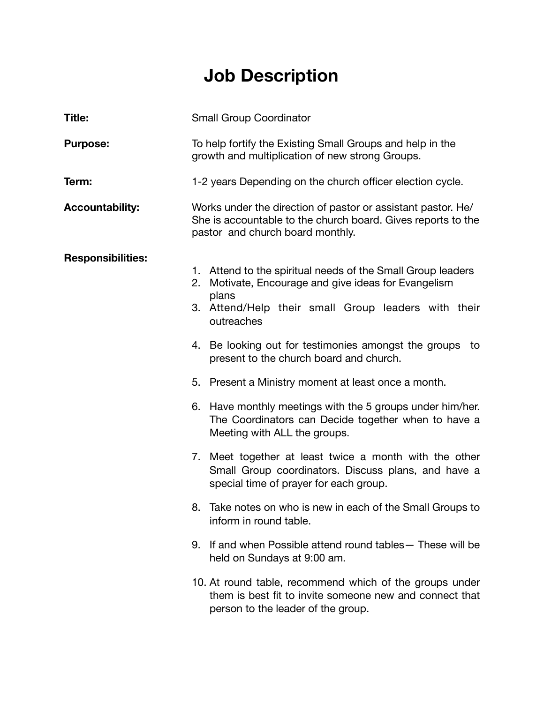## **Job Description**

| <b>Title:</b>            | <b>Small Group Coordinator</b>                                                                                                                                                                       |
|--------------------------|------------------------------------------------------------------------------------------------------------------------------------------------------------------------------------------------------|
| <b>Purpose:</b>          | To help fortify the Existing Small Groups and help in the<br>growth and multiplication of new strong Groups.                                                                                         |
| Term:                    | 1-2 years Depending on the church officer election cycle.                                                                                                                                            |
| <b>Accountability:</b>   | Works under the direction of pastor or assistant pastor. He/<br>She is accountable to the church board. Gives reports to the<br>pastor and church board monthly.                                     |
| <b>Responsibilities:</b> | 1. Attend to the spiritual needs of the Small Group leaders<br>Motivate, Encourage and give ideas for Evangelism<br>2.<br>plans<br>3. Attend/Help their small Group leaders with their<br>outreaches |
|                          | 4. Be looking out for testimonies amongst the groups to<br>present to the church board and church.                                                                                                   |
|                          | 5. Present a Ministry moment at least once a month.                                                                                                                                                  |
|                          | 6. Have monthly meetings with the 5 groups under him/her.<br>The Coordinators can Decide together when to have a<br>Meeting with ALL the groups.                                                     |
|                          | Meet together at least twice a month with the other<br>7.<br>Small Group coordinators. Discuss plans, and have a<br>special time of prayer for each group.                                           |
|                          | 8. Take notes on who is new in each of the Small Groups to<br>inform in round table.                                                                                                                 |
|                          | If and when Possible attend round tables - These will be<br>9.<br>held on Sundays at 9:00 am.                                                                                                        |
|                          | 10. At round table, recommend which of the groups under<br>them is best fit to invite someone new and connect that<br>person to the leader of the group.                                             |